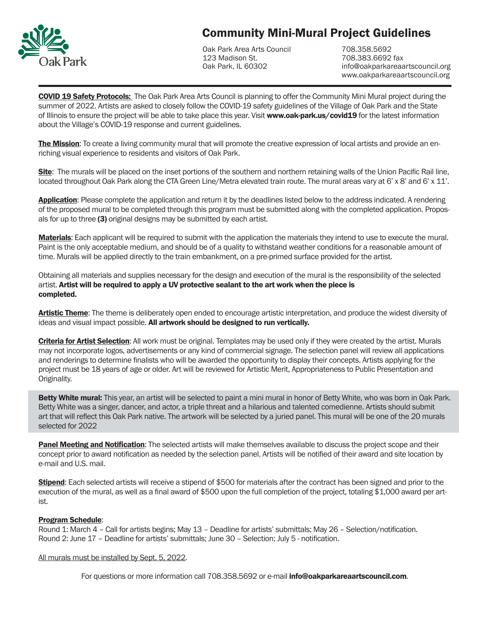

# Community Mini-Mural Project Guidelines

Oak Park Area Arts Council 123 Madison St. Oak Park, IL 60302

708.358.5692 708.383.6692 fax info@oakparkareaartscouncil.org www.oakparkareaartscouncil.org

**COVID 19 Safety Protocols:** The Oak Park Area Arts Council is planning to offer the Community Mini Mural project during the summer of 2022. Artists are asked to closely follow the COVID-19 safety guidelines of the Village of Oak Park and the State of Illinois to ensure the project will be able to take place this year. Visit www.oak-park.us/covid19 for the latest information about the Village's COVID-19 response and current guidelines.

The Mission: To create a living community mural that will promote the creative expression of local artists and provide an enriching visual experience to residents and visitors of Oak Park.

Site: The murals will be placed on the inset portions of the southern and northern retaining walls of the Union Pacific Rail line, located throughout Oak Park along the CTA Green Line/Metra elevated train route. The mural areas vary at 6' x 8' and 6' x 11'.

**Application:** Please complete the application and return it by the deadlines listed below to the address indicated. A rendering of the proposed mural to be completed through this program must be submitted along with the completed application. Proposals for up to three (3) original designs may be submitted by each artist.

**Materials:** Each applicant will be required to submit with the application the materials they intend to use to execute the mural. Paint is the only acceptable medium, and should be of a quality to withstand weather conditions for a reasonable amount of time. Murals will be applied directly to the train embankment, on a pre-primed surface provided for the artist.

Obtaining all materials and supplies necessary for the design and execution of the mural is the responsibility of the selected artist. Artist will be required to apply a UV protective sealant to the art work when the piece is completed.

Artistic Theme: The theme is deliberately open ended to encourage artistic interpretation, and produce the widest diversity of ideas and visual impact possible. All artwork should be designed to run vertically.

Criteria for Artist Selection: All work must be original. Templates may be used only if they were created by the artist. Murals may not incorporate logos, advertisements or any kind of commercial signage. The selection panel will review all applications and renderings to determine finalists who will be awarded the opportunity to display their concepts. Artists applying for the project must be 18 years of age or older. Art will be reviewed for Artistic Merit, Appropriateness to Public Presentation and Originality.

Betty White mural: This year, an artist will be selected to paint a mini mural in honor of Betty White, who was born in Oak Park. Betty White was a singer, dancer, and actor, a triple threat and a hilarious and talented comedienne. Artists should submit art that will reflect this Oak Park native. The artwork will be selected by a juried panel. This mural will be one of the 20 murals selected for 2022

Panel Meeting and Notification: The selected artists will make themselves available to discuss the project scope and their concept prior to award notification as needed by the selection panel. Artists will be notified of their award and site location by e-mail and U.S. mail.

Stipend: Each selected artists will receive a stipend of \$500 for materials after the contract has been signed and prior to the execution of the mural, as well as a final award of \$500 upon the full completion of the project, totaling \$1,000 award per artist.

#### Program Schedule:

Round 1: March 4 – Call for artists begins; May 13 – Deadline for artists' submittals; May 26 – Selection/notification. Round 2: June 17 – Deadline for artists' submittals; June 30 – Selection; July 5 - notification.

All murals must be installed by Sept. 5, 2022.

For questions or more information call 708.358.5692 or e-mail **info@oakparkareaartscouncil.com**.